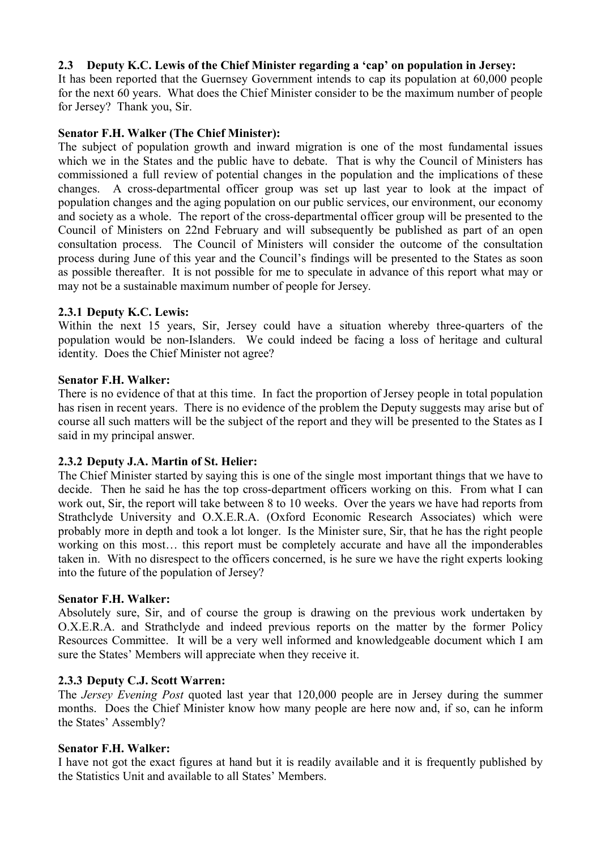# **2.3 Deputy K.C. Lewis of the Chief Minister regarding a 'cap' on population in Jersey:**

It has been reported that the Guernsey Government intends to cap its population at 60,000 people for the next 60 years. What does the Chief Minister consider to be the maximum number of people for Jersey? Thank you, Sir.

## **Senator F.H. Walker (The Chief Minister):**

The subject of population growth and inward migration is one of the most fundamental issues which we in the States and the public have to debate. That is why the Council of Ministers has commissioned a full review of potential changes in the population and the implications of these changes. A cross-departmental officer group was set up last year to look at the impact of population changes and the aging population on our public services, our environment, our economy and society as a whole. The report of the cross-departmental officer group will be presented to the Council of Ministers on 22nd February and will subsequently be published as part of an open consultation process. The Council of Ministers will consider the outcome of the consultation process during June of this year and the Council's findings will be presented to the States as soon as possible thereafter. It is not possible for me to speculate in advance of this report what may or may not be a sustainable maximum number of people for Jersey.

## **2.3.1 Deputy K.C. Lewis:**

Within the next 15 years, Sir, Jersey could have a situation whereby three-quarters of the population would be non-Islanders. We could indeed be facing a loss of heritage and cultural identity. Does the Chief Minister not agree?

#### **Senator F.H. Walker:**

There is no evidence of that at this time. In fact the proportion of Jersey people in total population has risen in recent years. There is no evidence of the problem the Deputy suggests may arise but of course all such matters will be the subject of the report and they will be presented to the States as I said in my principal answer.

# **2.3.2 Deputy J.A. Martin of St. Helier:**

The Chief Minister started by saying this is one of the single most important things that we have to decide. Then he said he has the top cross-department officers working on this. From what I can work out, Sir, the report will take between 8 to 10 weeks. Over the years we have had reports from Strathclyde University and O.X.E.R.A. (Oxford Economic Research Associates) which were probably more in depth and took a lot longer. Is the Minister sure, Sir, that he has the right people working on this most… this report must be completely accurate and have all the imponderables taken in. With no disrespect to the officers concerned, is he sure we have the right experts looking into the future of the population of Jersey?

#### **Senator F.H. Walker:**

Absolutely sure, Sir, and of course the group is drawing on the previous work undertaken by O.X.E.R.A. and Strathclyde and indeed previous reports on the matter by the former Policy Resources Committee. It will be a very well informed and knowledgeable document which I am sure the States' Members will appreciate when they receive it.

# **2.3.3 Deputy C.J. Scott Warren:**

The *Jersey Evening Post* quoted last year that 120,000 people are in Jersey during the summer months. Does the Chief Minister know how many people are here now and, if so, can he inform the States' Assembly?

#### **Senator F.H. Walker:**

I have not got the exact figures at hand but it is readily available and it is frequently published by the Statistics Unit and available to all States' Members.